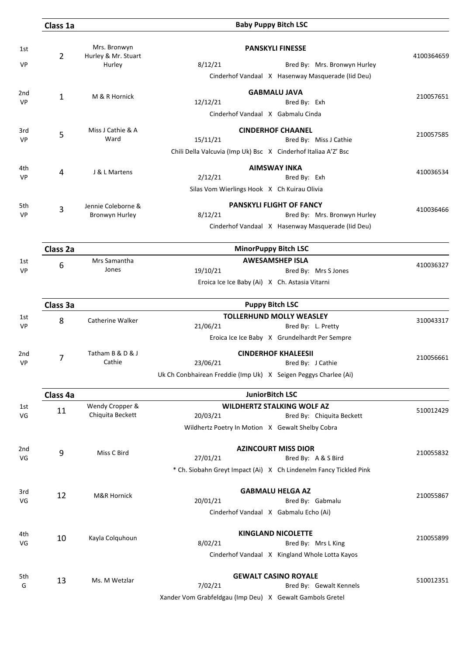|                       | Class 1a       |                                      | <b>Baby Puppy Bitch LSC</b>                                                                                                                                                     |            |
|-----------------------|----------------|--------------------------------------|---------------------------------------------------------------------------------------------------------------------------------------------------------------------------------|------------|
| 1st                   | $\overline{2}$ | Mrs. Bronwyn<br>Hurley & Mr. Stuart  | <b>PANSKYLI FINESSE</b>                                                                                                                                                         | 4100364659 |
| VP                    |                | Hurley                               | 8/12/21<br>Bred By: Mrs. Bronwyn Hurley<br>Cinderhof Vandaal X Hasenway Masquerade (Iid Deu)                                                                                    |            |
| 2 <sub>nd</sub><br>VP | 1              | M & R Hornick                        | <b>GABMALU JAVA</b><br>12/12/21<br>Bred By: Exh<br>Cinderhof Vandaal X Gabmalu Cinda                                                                                            | 210057651  |
| 3rd<br><b>VP</b>      | 5              | Miss J Cathie & A<br>Ward            | <b>CINDERHOF CHAANEL</b><br>15/11/21<br>Bred By: Miss J Cathie<br>Chili Della Valcuvia (Imp Uk) Bsc X Cinderhof Italiaa A'Z' Bsc                                                | 210057585  |
| 4th<br><b>VP</b>      | 4              | J & L Martens                        | <b>AIMSWAY INKA</b><br>2/12/21<br>Bred By: Exh<br>Silas Vom Wierlings Hook X Ch Kuirau Olivia                                                                                   | 410036534  |
| 5th<br><b>VP</b>      | 3              | Jennie Coleborne &<br>Bronwyn Hurley | PANSKYLI FLIGHT OF FANCY<br>8/12/21<br>Bred By: Mrs. Bronwyn Hurley<br>Cinderhof Vandaal X Hasenway Masquerade (Iid Deu)                                                        | 410036466  |
|                       | Class 2a       |                                      | <b>MinorPuppy Bitch LSC</b>                                                                                                                                                     |            |
| 1st<br><b>VP</b>      | 6              | Mrs Samantha<br>Jones                | <b>AWESAMSHEP ISLA</b><br>19/10/21<br>Bred By: Mrs S Jones<br>Eroica Ice Ice Baby (Ai) X Ch. Astasia Vitarni                                                                    | 410036327  |
|                       | Class 3a       |                                      | <b>Puppy Bitch LSC</b>                                                                                                                                                          |            |
| 1st<br><b>VP</b>      | 8              | Catherine Walker                     | <b>TOLLERHUND MOLLY WEASLEY</b><br>21/06/21<br>Bred By: L. Pretty                                                                                                               | 310043317  |
| 2nd<br>VP             | $\overline{7}$ | Tatham B & D & J<br>Cathie           | Eroica Ice Ice Baby X Grundelhardt Per Sempre<br><b>CINDERHOF KHALEESII</b><br>23/06/21<br>Bred By: J Cathie<br>Uk Ch Conbhairean Freddie (Imp Uk) X Seigen Peggys Charlee (Ai) | 210056661  |
|                       | Class 4a       |                                      | <b>JuniorBitch LSC</b>                                                                                                                                                          |            |
| 1st<br>VG             | 11             | Wendy Cropper &<br>Chiquita Beckett  | <b>WILDHERTZ STALKING WOLF AZ</b><br>20/03/21<br>Bred By: Chiquita Beckett<br>Wildhertz Poetry In Motion X Gewalt Shelby Cobra                                                  | 510012429  |
| 2nd<br>VG             | 9              | Miss C Bird                          | <b>AZINCOURT MISS DIOR</b><br>27/01/21<br>Bred By: A & S Bird<br>* Ch. Siobahn Greyt Impact (Ai) X Ch Lindenelm Fancy Tickled Pink                                              | 210055832  |
| 3rd<br>VG             | 12             | M&R Hornick                          | <b>GABMALU HELGA AZ</b><br>20/01/21<br>Bred By: Gabmalu<br>Cinderhof Vandaal X Gabmalu Echo (Ai)                                                                                | 210055867  |
| 4th<br>VG             | 10             | Kayla Colquhoun                      | <b>KINGLAND NICOLETTE</b><br>8/02/21<br>Bred By: Mrs L King<br>Cinderhof Vandaal X Kingland Whole Lotta Kayos                                                                   | 210055899  |
| 5th<br>G              | 13             | Ms. M Wetzlar                        | <b>GEWALT CASINO ROYALE</b><br>7/02/21<br>Bred By: Gewalt Kennels<br>Xander Vom Grabfeldgau (Imp Deu) X Gewalt Gambols Gretel                                                   | 510012351  |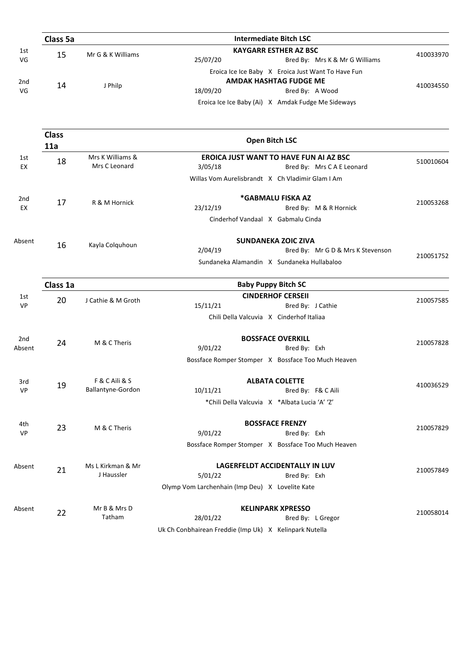|                 | Class 5a            | <b>Intermediate Bitch LSC</b>     |                                                                                      |           |  |  |  |
|-----------------|---------------------|-----------------------------------|--------------------------------------------------------------------------------------|-----------|--|--|--|
| 1st             | 15                  | Mr G & K Williams                 | <b>KAYGARR ESTHER AZ BSC</b>                                                         | 410033970 |  |  |  |
| VG              |                     |                                   | 25/07/20<br>Bred By: Mrs K & Mr G Williams                                           |           |  |  |  |
|                 |                     |                                   | Eroica Ice Ice Baby X Eroica Just Want To Have Fun                                   |           |  |  |  |
| 2 <sub>nd</sub> | 14                  | J Philp                           | <b>AMDAK HASHTAG FUDGE ME</b>                                                        | 410034550 |  |  |  |
| VG              |                     |                                   | 18/09/20<br>Bred By: A Wood                                                          |           |  |  |  |
|                 |                     |                                   | Eroica Ice Ice Baby (Ai) X Amdak Fudge Me Sideways                                   |           |  |  |  |
|                 | <b>Class</b><br>11a |                                   | <b>Open Bitch LSC</b>                                                                |           |  |  |  |
| 1st<br>EX       | 18                  | Mrs K Williams &<br>Mrs C Leonard | <b>EROICA JUST WANT TO HAVE FUN AI AZ BSC</b><br>3/05/18<br>Bred By: Mrs CAE Leonard | 510010604 |  |  |  |
|                 |                     |                                   | Willas Vom Aurelisbrandt X Ch Vladimir Glam I Am                                     |           |  |  |  |
| 2 <sub>nd</sub> |                     | R & M Hornick                     | *GABMALU FISKA AZ                                                                    | 210053268 |  |  |  |
|                 | 17                  |                                   | 23/12/19<br>Bred By: M & R Hornick                                                   |           |  |  |  |
|                 |                     |                                   | Cinderhof Vandaal X Gabmalu Cinda                                                    |           |  |  |  |
| Absent          | 16                  | Kayla Colquhoun                   | <b>SUNDANEKA ZOIC ZIVA</b>                                                           |           |  |  |  |
|                 |                     |                                   | 2/04/19<br>Bred By: Mr G D & Mrs K Stevenson                                         | 210051752 |  |  |  |
|                 |                     |                                   | Sundaneka Alamandin X Sundaneka Hullabaloo                                           |           |  |  |  |
|                 | Class 1a            |                                   | <b>Baby Puppy Bitch SC</b>                                                           |           |  |  |  |
| 1st             | 20                  | J Cathie & M Groth                | <b>CINDERHOF CERSEII</b>                                                             | 210057585 |  |  |  |
| <b>VP</b>       |                     |                                   | 15/11/21<br>Bred By: J Cathie                                                        |           |  |  |  |
|                 |                     |                                   | Chili Della Valcuvia X Cinderhof Italiaa                                             |           |  |  |  |

| 2 <sub>nd</sub> | 24 | M & C Theris      | <b>BOSSFACE OVERKILL</b>                               | 210057828 |
|-----------------|----|-------------------|--------------------------------------------------------|-----------|
| Absent          |    |                   | 9/01/22<br>Bred By: Exh                                |           |
|                 |    |                   | Bossface Romper Stomper X Bossface Too Much Heaven     |           |
| 3rd             | 19 | F & C Aili & S    | <b>ALBATA COLETTE</b>                                  | 410036529 |
| VP              |    | Ballantyne-Gordon | 10/11/21<br>Bred By: F& C Aili                         |           |
|                 |    |                   | *Chili Della Valcuvia X *Albata Lucia 'A' 'Z'          |           |
| 4th             | 23 | M & C Theris      | <b>BOSSFACE FRENZY</b>                                 | 210057829 |
| VP              |    |                   | 9/01/22<br>Bred By: Exh                                |           |
|                 |    |                   | Bossface Romper Stomper X Bossface Too Much Heaven     |           |
| Absent          | 21 | Ms L Kirkman & Mr | LAGERFELDT ACCIDENTALLY IN LUV                         | 210057849 |
|                 |    | J Haussler        | 5/01/22<br>Bred By: Exh                                |           |
|                 |    |                   | Olymp Vom Larchenhain (Imp Deu) X Lovelite Kate        |           |
| Absent          | 22 | Mr B & Mrs D      | <b>KELINPARK XPRESSO</b>                               | 210058014 |
|                 |    | Tatham            | 28/01/22<br>Bred By: L Gregor                          |           |
|                 |    |                   | Uk Ch Conbhairean Freddie (Imp Uk) X Kelinpark Nutella |           |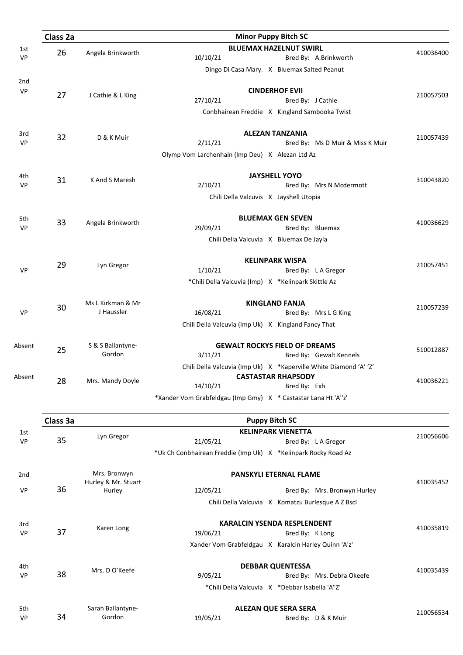|                  | Class 2a |                             | <b>Minor Puppy Bitch SC</b>                                       |           |
|------------------|----------|-----------------------------|-------------------------------------------------------------------|-----------|
| 1st              |          |                             | <b>BLUEMAX HAZELNUT SWIRL</b>                                     |           |
| VP               | 26       | Angela Brinkworth           | 10/10/21<br>Bred By: A.Brinkworth                                 | 410036400 |
|                  |          |                             | Dingo Di Casa Mary. X Bluemax Salted Peanut                       |           |
| 2nd              |          |                             |                                                                   |           |
| VP               | 27       |                             | <b>CINDERHOF EVII</b>                                             | 210057503 |
|                  |          | J Cathie & L King           | 27/10/21<br>Bred By: J Cathie                                     |           |
|                  |          |                             | Conbhairean Freddie X Kingland Sambooka Twist                     |           |
|                  |          |                             |                                                                   |           |
| 3rd              | 32       | D & K Muir                  | <b>ALEZAN TANZANIA</b>                                            | 210057439 |
| <b>VP</b>        |          |                             | 2/11/21<br>Bred By: Ms D Muir & Miss K Muir                       |           |
|                  |          |                             | Olymp Vom Larchenhain (Imp Deu) X Alezan Ltd Az                   |           |
|                  |          |                             |                                                                   |           |
| 4th<br><b>VP</b> | 31       | K And S Maresh              | <b>JAYSHELL YOYO</b><br>2/10/21<br>Bred By: Mrs N Mcdermott       | 310043820 |
|                  |          |                             |                                                                   |           |
|                  |          |                             | Chili Della Valcuvis X Jayshell Utopia                            |           |
| 5th              |          |                             | <b>BLUEMAX GEN SEVEN</b>                                          |           |
| VP               | 33       | Angela Brinkworth           | 29/09/21<br>Bred By: Bluemax                                      | 410036629 |
|                  |          |                             | Chili Della Valcuvia X Bluemax De Jayla                           |           |
|                  |          |                             |                                                                   |           |
|                  | 29       | Lyn Gregor                  | <b>KELINPARK WISPA</b>                                            | 210057451 |
| <b>VP</b>        |          |                             | 1/10/21<br>Bred By: LA Gregor                                     |           |
|                  |          |                             | *Chili Della Valcuvia (Imp) X *Kelinpark Skittle Az               |           |
|                  |          | Ms L Kirkman & Mr           | <b>KINGLAND FANJA</b>                                             |           |
| <b>VP</b>        | 30       | J Haussler                  | 16/08/21<br>Bred By: Mrs L G King                                 | 210057239 |
|                  |          |                             | Chili Della Valcuvia (Imp Uk) X Kingland Fancy That               |           |
|                  |          | S & S Ballantyne-           | <b>GEWALT ROCKYS FIELD OF DREAMS</b>                              |           |
| Absent           | 25       | Gordon                      | 3/11/21<br>Bred By: Gewalt Kennels                                | 510012887 |
|                  |          |                             | Chili Della Valcuvia (Imp Uk) X *Kaperville White Diamond 'A' 'Z' |           |
| Absent           |          |                             | <b>CASTASTAR RHAPSODY</b>                                         |           |
|                  | 28       | Mrs. Mandy Doyle            | 14/10/21<br>Bred By: Exh                                          | 410036221 |
|                  |          |                             | *Xander Vom Grabfeldgau (Imp Gmy) X * Castastar Lana Ht 'A"z'     |           |
|                  |          |                             |                                                                   |           |
|                  | Class 3a |                             | <b>Puppy Bitch SC</b>                                             |           |
| 1st              |          | Lyn Gregor                  | <b>KELINPARK VIENETTA</b>                                         | 210056606 |
| <b>VP</b>        | 35       |                             | 21/05/21<br>Bred By: LA Gregor                                    |           |
|                  |          |                             | *Uk Ch Conbhairean Freddie (Imp Uk) X *Kelinpark Rocky Road Az    |           |
| 2nd              |          | Mrs. Bronwyn                | PANSKYLI ETERNAL FLAME                                            |           |
|                  |          | Hurley & Mr. Stuart         |                                                                   | 410035452 |
| <b>VP</b>        | 36       | Hurley                      | 12/05/21<br>Bred By: Mrs. Bronwyn Hurley                          |           |
|                  |          |                             | Chili Della Valcuvia X Komatzu Burlesque A Z Bscl                 |           |
|                  |          |                             | <b>KARALCIN YSENDA RESPLENDENT</b>                                |           |
| 3rd<br><b>VP</b> | 37       | Karen Long                  | 19/06/21<br>Bred By: K Long                                       | 410035819 |
|                  |          |                             | Xander Vom Grabfeldgau X Karalcin Harley Quinn 'A'z'              |           |
|                  |          |                             |                                                                   |           |
| 4th              |          | Mrs. D O'Keefe              | <b>DEBBAR QUENTESSA</b>                                           | 410035439 |
| <b>VP</b>        | 38       |                             | 9/05/21<br>Bred By: Mrs. Debra Okeefe                             |           |
|                  |          |                             | *Chili Della Valcuvia X *Debbar Isabella 'A"Z'                    |           |
|                  |          |                             | <b>ALEZAN QUE SERA SERA</b>                                       |           |
| 5th<br>VP        | 34       | Sarah Ballantyne-<br>Gordon | 19/05/21<br>Bred By: D & K Muir                                   | 210056534 |
|                  |          |                             |                                                                   |           |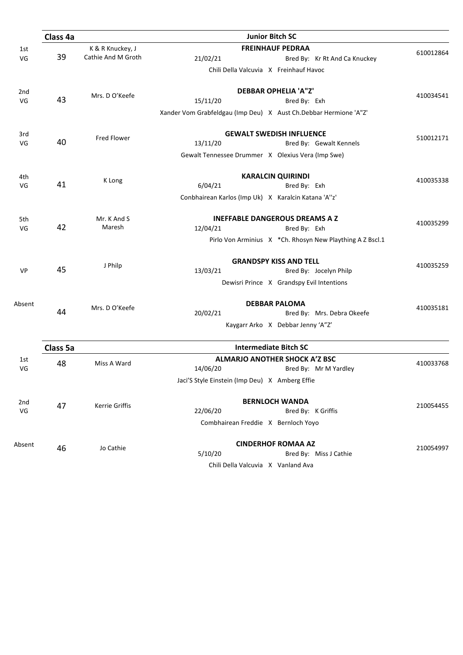|           | Class 4a |                                        | <b>Junior Bitch SC</b>                                                                   |           |
|-----------|----------|----------------------------------------|------------------------------------------------------------------------------------------|-----------|
| 1st<br>VG | 39       | K & R Knuckey, J<br>Cathie And M Groth | <b>FREINHAUF PEDRAA</b><br>21/02/21<br>Bred By: Kr Rt And Ca Knuckey                     | 610012864 |
|           |          |                                        | Chili Della Valcuvia X Freinhauf Havoc                                                   |           |
| 2nd<br>VG | 43       | Mrs. D O'Keefe                         | <b>DEBBAR OPHELIA 'A"Z'</b><br>15/11/20<br>Bred By: Exh                                  | 410034541 |
|           |          |                                        | Xander Vom Grabfeldgau (Imp Deu) X Aust Ch.Debbar Hermione 'A"Z'                         |           |
| 3rd       |          | <b>Fred Flower</b>                     | <b>GEWALT SWEDISH INFLUENCE</b>                                                          | 510012171 |
| VG        | 40       |                                        | 13/11/20<br>Bred By: Gewalt Kennels<br>Gewalt Tennessee Drummer X Olexius Vera (Imp Swe) |           |
| 4th       |          |                                        | <b>KARALCIN QUIRINDI</b>                                                                 |           |
| VG        | 41       | K Long                                 | 6/04/21<br>Bred By: Exh                                                                  | 410035338 |
|           |          |                                        | Conbhairean Karlos (Imp Uk) X Karalcin Katana 'A"z'                                      |           |
| 5th       | 42       | Mr. K And S<br>Maresh                  | <b>INEFFABLE DANGEROUS DREAMS A Z</b>                                                    | 410035299 |
| VG        |          |                                        | 12/04/21<br>Bred By: Exh                                                                 |           |
|           |          |                                        | Pirlo Von Arminius X *Ch. Rhosyn New Plaything A Z Bscl.1                                |           |
|           |          | J Philp                                | <b>GRANDSPY KISS AND TELL</b>                                                            | 410035259 |
| <b>VP</b> | 45       |                                        | 13/03/21<br>Bred By: Jocelyn Philp                                                       |           |
|           |          |                                        | Dewisri Prince X Grandspy Evil Intentions                                                |           |
| Absent    |          | Mrs. D O'Keefe                         | <b>DEBBAR PALOMA</b>                                                                     | 410035181 |
|           | 44       |                                        | 20/02/21<br>Bred By: Mrs. Debra Okeefe                                                   |           |
|           |          |                                        | Kaygarr Arko X Debbar Jenny 'A"Z'                                                        |           |
|           | Class 5a |                                        | <b>Intermediate Bitch SC</b>                                                             |           |
| 1st<br>VG | 48       | Miss A Ward                            | <b>ALMARJO ANOTHER SHOCK A'Z BSC</b><br>14/06/20<br>Bred By: Mr M Yardley                | 410033768 |
|           |          |                                        | Jaci'S Style Einstein (Imp Deu) X Amberg Effie                                           |           |
| 2nd       |          |                                        | <b>BERNLOCH WANDA</b>                                                                    |           |
| VG        | 47       | Kerrie Griffis                         | 22/06/20<br>Bred By: K Griffis                                                           | 210054455 |
|           |          |                                        | Combhairean Freddie X Bernloch Yoyo                                                      |           |
| Absent    | 46       | Jo Cathie                              | <b>CINDERHOF ROMAA AZ</b>                                                                | 210054997 |
|           |          |                                        | 5/10/20<br>Bred By: Miss J Cathie                                                        |           |
|           |          |                                        | Chili Della Valcuvia X Vanland Ava                                                       |           |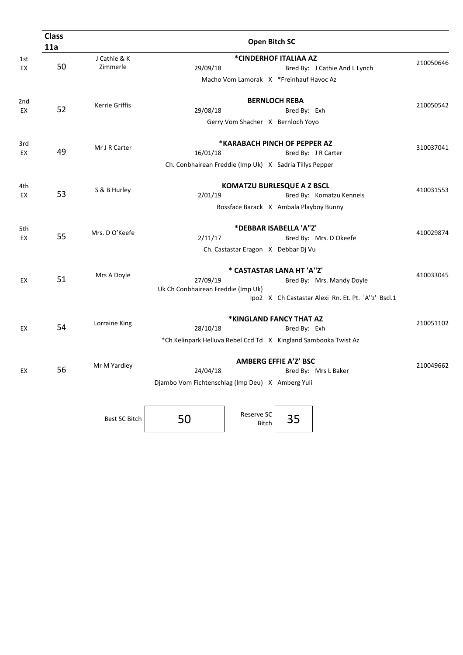| <b>Class</b><br>11a |                          |                                                                             | Open Bitch SC                                                               |                                      |                                                                                 |           |
|---------------------|--------------------------|-----------------------------------------------------------------------------|-----------------------------------------------------------------------------|--------------------------------------|---------------------------------------------------------------------------------|-----------|
| 50                  | J Cathie & K<br>Zimmerle | 29/09/18                                                                    | *CINDERHOF ITALIAA AZ                                                       |                                      | Bred By: J Cathie And L Lynch                                                   | 210050646 |
|                     |                          |                                                                             | Macho Vom Lamorak X *Freinhauf Havoc Az                                     |                                      |                                                                                 |           |
| 52                  | Kerrie Griffis           | 29/08/18                                                                    | Gerry Vom Shacher X Bernloch Yoyo                                           | <b>BERNLOCH REBA</b><br>Bred By: Exh |                                                                                 | 210050542 |
| 49                  | Mr J R Carter            | 16/01/18<br>Ch. Conbhairean Freddie (Imp Uk) X Sadria Tillys Pepper         | *KARABACH PINCH OF PEPPER AZ                                                |                                      | Bred By: J R Carter                                                             | 310037041 |
| 53                  | S & B Hurley             | 2/01/19                                                                     | <b>KOMATZU BURLESQUE A Z BSCL</b><br>Bossface Barack X Ambala Playboy Bunny |                                      | Bred By: Komatzu Kennels                                                        | 410031553 |
| 55                  | Mrs. D O'Keefe           | 2/11/17                                                                     | *DEBBAR ISABELLA 'A"Z'<br>Ch. Castastar Eragon X Debbar Dj Vu               |                                      | Bred By: Mrs. D Okeefe                                                          | 410029874 |
| 51                  | Mrs A Doyle              | 27/09/19<br>Uk Ch Conbhairean Freddie (Imp Uk)                              | * CASTASTAR LANA HT 'A"Z'                                                   |                                      | Bred By: Mrs. Mandy Doyle<br>Ipo2 X Ch Castastar Alexi Rn. Et. Pt. 'A"z' Bscl.1 | 410033045 |
| 54                  | Lorraine King            | 28/10/18<br>*Ch Kelinpark Helluva Rebel Ccd Td X Kingland Sambooka Twist Az | *KINGLAND FANCY THAT AZ                                                     | Bred By: Exh                         |                                                                                 | 210051102 |
| 56                  | Mr M Yardley             | 24/04/18<br>Djambo Vom Fichtenschlag (Imp Deu) X Amberg Yuli                | <b>AMBERG EFFIE A'Z' BSC</b>                                                |                                      | Bred By: Mrs L Baker                                                            | 210049662 |
|                     | Best SC Bitch            | 50                                                                          | Reserve SC<br><b>Bitch</b>                                                  | 35                                   |                                                                                 |           |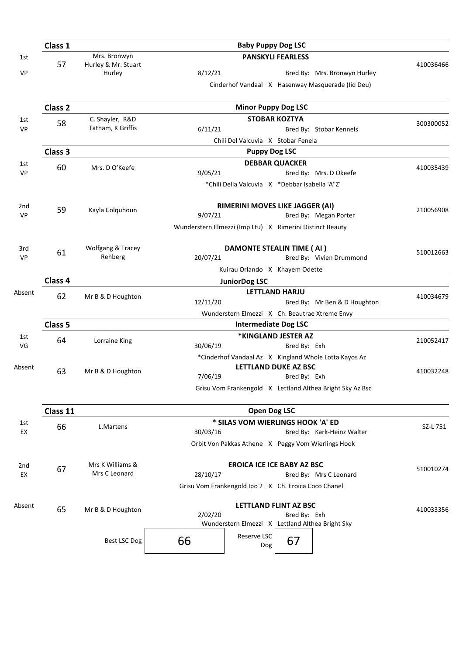|                  | Class 1                        |                               | <b>Baby Puppy Dog LSC</b>                                  |           |
|------------------|--------------------------------|-------------------------------|------------------------------------------------------------|-----------|
| 1st              |                                | Mrs. Bronwyn                  | <b>PANSKYLI FEARLESS</b>                                   |           |
| VP               | 57                             | Hurley & Mr. Stuart<br>Hurley | 8/12/21<br>Bred By: Mrs. Bronwyn Hurley                    | 410036466 |
|                  |                                |                               | Cinderhof Vandaal X Hasenway Masquerade (Iid Deu)          |           |
|                  | Class 2                        |                               | <b>Minor Puppy Dog LSC</b>                                 |           |
| 1st              | 58                             | C. Shayler, R&D               | <b>STOBAR KOZTYA</b>                                       | 300300052 |
| VP               |                                | Tatham, K Griffis             | 6/11/21<br>Bred By: Stobar Kennels                         |           |
|                  |                                |                               | Chili Del Valcuvia X Stobar Fenela                         |           |
|                  | Class 3                        |                               | <b>Puppy Dog LSC</b>                                       |           |
| 1st<br><b>VP</b> | 60                             | Mrs. D O'Keefe                | <b>DEBBAR QUACKER</b><br>9/05/21<br>Bred By: Mrs. D Okeefe | 410035439 |
|                  |                                |                               | *Chili Della Valcuvia X *Debbar Isabella 'A"Z'             |           |
| 2nd              |                                |                               | RIMERINI MOVES LIKE JAGGER (AI)                            |           |
| <b>VP</b>        | 59                             | Kayla Colquhoun               | 9/07/21<br>Bred By: Megan Porter                           | 210056908 |
|                  |                                |                               | Wunderstern Elmezzi (Imp Ltu) X Rimerini Distinct Beauty   |           |
| 3rd              | 61                             | Wolfgang & Tracey             | DAMONTE STEALIN TIME (AI)                                  | 510012663 |
| <b>VP</b>        |                                | Rehberg                       | 20/07/21<br>Bred By: Vivien Drummond                       |           |
|                  | Kuirau Orlando X Khayem Odette |                               |                                                            |           |
|                  | Class 4                        |                               | <b>JuniorDog LSC</b>                                       |           |
| Absent           | 62                             | Mr B & D Houghton             | <b>LETTLAND HARJU</b>                                      | 410034679 |
|                  |                                |                               | 12/11/20<br>Bred By: Mr Ben & D Houghton                   |           |
|                  |                                |                               | Wunderstern Elmezzi X Ch. Beautrae Xtreme Envy             |           |
|                  | Class 5                        |                               | <b>Intermediate Dog LSC</b><br>*KINGLAND JESTER AZ         |           |
| 1st<br>VG        | 64                             | Lorraine King                 | 30/06/19<br>Bred By: Exh                                   | 210052417 |
|                  |                                |                               | *Cinderhof Vandaal Az X Kingland Whole Lotta Kayos Az      |           |
| Absent           | 63                             | Mr B & D Houghton             | LETTLAND DUKE AZ BSC                                       | 410032248 |
|                  |                                |                               | 7/06/19<br>Bred By: Exh                                    |           |
|                  |                                |                               | Grisu Vom Frankengold X Lettland Althea Bright Sky Az Bsc  |           |
|                  | Class 11                       |                               | <b>Open Dog LSC</b>                                        |           |
| 1st              | 66                             | L.Martens                     | * SILAS VOM WIERLINGS HOOK 'A' ED                          | SZ-L 751  |
| EX               |                                |                               | 30/03/16<br>Bred By: Kark-Heinz Walter                     |           |
|                  |                                |                               | Orbit Von Pakkas Athene X Peggy Vom Wierlings Hook         |           |
| 2nd              | 67                             | Mrs K Williams &              | <b>EROICA ICE ICE BABY AZ BSC</b>                          | 510010274 |
| EX               |                                | Mrs C Leonard                 | 28/10/17<br>Bred By: Mrs C Leonard                         |           |
|                  |                                |                               | Grisu Vom Frankengold Ipo 2 X Ch. Eroica Coco Chanel       |           |
| Absent           | 65                             | Mr B & D Houghton             | <b>LETTLAND FLINT AZ BSC</b>                               | 410033356 |
|                  |                                |                               | 2/02/20<br>Bred By: Exh                                    |           |
|                  |                                |                               | Wunderstern Elmezzi X Lettland Althea Bright Sky           |           |
|                  |                                | Best LSC Dog                  | Reserve LSC<br>67<br>66<br>Dog                             |           |
|                  |                                |                               |                                                            |           |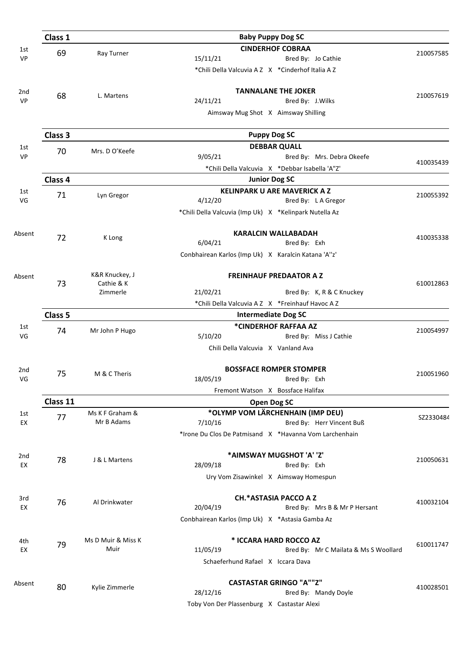|           | Class 1            |                    | <b>Baby Puppy Dog SC</b>                                                               |           |
|-----------|--------------------|--------------------|----------------------------------------------------------------------------------------|-----------|
| 1st<br>VP | 69                 | Ray Turner         | <b>CINDERHOF COBRAA</b><br>15/11/21<br>Bred By: Jo Cathie                              | 210057585 |
|           |                    |                    | *Chili Della Valcuvia A Z X *Cinderhof Italia A Z                                      |           |
| 2nd       | 68                 | L. Martens         | <b>TANNALANE THE JOKER</b>                                                             | 210057619 |
| VP        |                    |                    | 24/11/21<br>Bred By: J. Wilks                                                          |           |
|           |                    |                    | Aimsway Mug Shot X Aimsway Shilling                                                    |           |
|           | Class 3            |                    | <b>Puppy Dog SC</b>                                                                    |           |
| 1st       | 70                 | Mrs. D O'Keefe     | <b>DEBBAR QUALL</b>                                                                    |           |
| <b>VP</b> |                    |                    | 9/05/21<br>Bred By: Mrs. Debra Okeefe                                                  | 410035439 |
|           |                    |                    | *Chili Della Valcuvia X *Debbar Isabella 'A"Z'                                         |           |
|           | Class 4            |                    | <b>Junior Dog SC</b>                                                                   |           |
| 1st       | 71                 | Lyn Gregor         | <b>KELINPARK U ARE MAVERICK A Z</b>                                                    | 210055392 |
| VG        |                    |                    | 4/12/20<br>Bred By: LA Gregor                                                          |           |
|           |                    |                    | *Chili Della Valcuvia (Imp Uk) X *Kelinpark Nutella Az                                 |           |
| Absent    |                    |                    | <b>KARALCIN WALLABADAH</b>                                                             |           |
|           | 72                 | K Long             | 6/04/21<br>Bred By: Exh                                                                | 410035338 |
|           |                    |                    | Conbhairean Karlos (Imp Uk) X Karalcin Katana 'A"z'                                    |           |
| Absent    |                    | K&R Knuckey, J     | <b>FREINHAUF PREDAATOR A Z</b>                                                         |           |
|           | 73                 | Cathie & K         |                                                                                        | 610012863 |
|           |                    | Zimmerle           | 21/02/21<br>Bred By: K, R & C Knuckey                                                  |           |
|           |                    |                    | *Chili Della Valcuvia A Z X *Freinhauf Havoc A Z                                       |           |
|           | Class <sub>5</sub> |                    | <b>Intermediate Dog SC</b>                                                             |           |
| 1st       | 74                 | Mr John P Hugo     | *CINDERHOF RAFFAA AZ                                                                   | 210054997 |
| VG        |                    |                    | 5/10/20<br>Bred By: Miss J Cathie<br>Chili Della Valcuvia X Vanland Ava                |           |
|           |                    |                    |                                                                                        |           |
| 2nd       | 75                 | M & C Theris       | <b>BOSSFACE ROMPER STOMPER</b>                                                         | 210051960 |
| VG        |                    |                    | 18/05/19<br>Bred By: Exh                                                               |           |
|           |                    |                    | Fremont Watson X Bossface Halifax                                                      |           |
|           | Class 11           |                    | <b>Open Dog SC</b>                                                                     |           |
| 1st       | 77                 | Ms K F Graham &    | *OLYMP VOM LÄRCHENHAIN (IMP DEU)                                                       | SZ2330484 |
| EX        |                    | Mr B Adams         | 7/10/16<br>Bred By: Herr Vincent Buß                                                   |           |
|           |                    |                    | *Irone Du Clos De Patmisand X *Havanna Vom Larchenhain                                 |           |
| 2nd       |                    |                    | *AIMSWAY MUGSHOT 'A' 'Z'                                                               |           |
| EX        | 78                 | J & L Martens      | 28/09/18<br>Bred By: Exh                                                               | 210050631 |
|           |                    |                    | Ury Vom Zisawinkel X Aimsway Homespun                                                  |           |
| 3rd       | 76                 | Al Drinkwater      | <b>CH.*ASTASIA PACCO A Z</b>                                                           | 410032104 |
| EX        |                    |                    | 20/04/19<br>Bred By: Mrs B & Mr P Hersant                                              |           |
|           |                    |                    | Conbhairean Karlos (Imp Uk) X *Astasia Gamba Az                                        |           |
| 4th       | 79                 | Ms D Muir & Miss K | * ICCARA HARD ROCCO AZ                                                                 | 610011747 |
| EX        |                    | Muir               | 11/05/19<br>Bred By: Mr C Mailata & Ms S Woollard<br>Schaeferhund Rafael X Iccara Dava |           |
|           |                    |                    |                                                                                        |           |
| Absent    | 80                 | Kylie Zimmerle     | <b>CASTASTAR GRINGO "A""Z"</b>                                                         | 410028501 |
|           |                    |                    | 28/12/16<br>Bred By: Mandy Doyle                                                       |           |
|           |                    |                    | Toby Von Der Plassenburg X Castastar Alexi                                             |           |